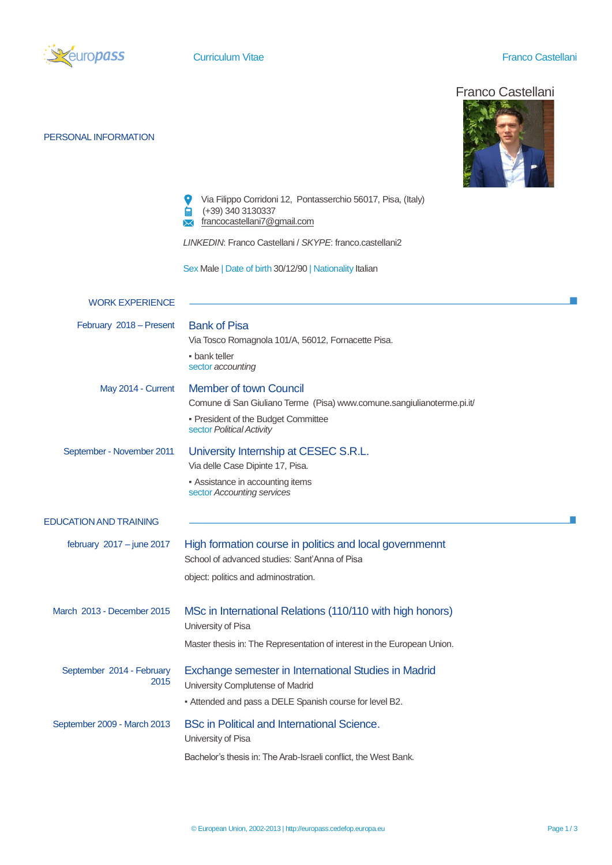

PERSONAL INFORMATION

## **Curriculum Vitae Curriculum Vitae Franco Castellani**

## Franco Castellani



|                                   | Via Filippo Corridoni 12, Pontasserchio 56017, Pisa, (Italy)<br>(+39) 340 3130337<br>francocastellani7@gmail.com<br>₩ |  |  |  |  |  |
|-----------------------------------|-----------------------------------------------------------------------------------------------------------------------|--|--|--|--|--|
|                                   | LINKEDIN: Franco Castellani / SKYPE: franco.castellani2                                                               |  |  |  |  |  |
|                                   | Sex Male   Date of birth 30/12/90   Nationality Italian                                                               |  |  |  |  |  |
| <b>WORK EXPERIENCE</b>            |                                                                                                                       |  |  |  |  |  |
| February 2018 - Present           | <b>Bank of Pisa</b><br>Via Tosco Romagnola 101/A, 56012, Fornacette Pisa.                                             |  |  |  |  |  |
|                                   | • bank teller<br>sector accounting                                                                                    |  |  |  |  |  |
| May 2014 - Current                | <b>Member of town Council</b><br>Comune di San Giuliano Terme (Pisa) www.comune.sangiulianoterme.pi.it/               |  |  |  |  |  |
|                                   | • President of the Budget Committee<br>sector Political Activity                                                      |  |  |  |  |  |
| September - November 2011         | University Internship at CESEC S.R.L.<br>Via delle Case Dipinte 17, Pisa.                                             |  |  |  |  |  |
|                                   | • Assistance in accounting items<br>sector Accounting services                                                        |  |  |  |  |  |
| <b>EDUCATION AND TRAINING</b>     |                                                                                                                       |  |  |  |  |  |
| february $2017 -$ june 2017       | High formation course in politics and local governmennt<br>School of advanced studies: Sant'Anna of Pisa              |  |  |  |  |  |
|                                   | object: politics and adminostration.                                                                                  |  |  |  |  |  |
| March 2013 - December 2015        | MSc in International Relations (110/110 with high honors)<br>University of Pisa                                       |  |  |  |  |  |
|                                   | Master thesis in: The Representation of interest in the European Union.                                               |  |  |  |  |  |
| September 2014 - February<br>2015 | Exchange semester in International Studies in Madrid<br>University Complutense of Madrid                              |  |  |  |  |  |
|                                   | - Attended and pass a DELE Spanish course for level B2.                                                               |  |  |  |  |  |
| September 2009 - March 2013       | <b>BSc in Political and International Science.</b><br>University of Pisa                                              |  |  |  |  |  |
|                                   | Bachelor's thesis in: The Arab-Israeli conflict, the West Bank.                                                       |  |  |  |  |  |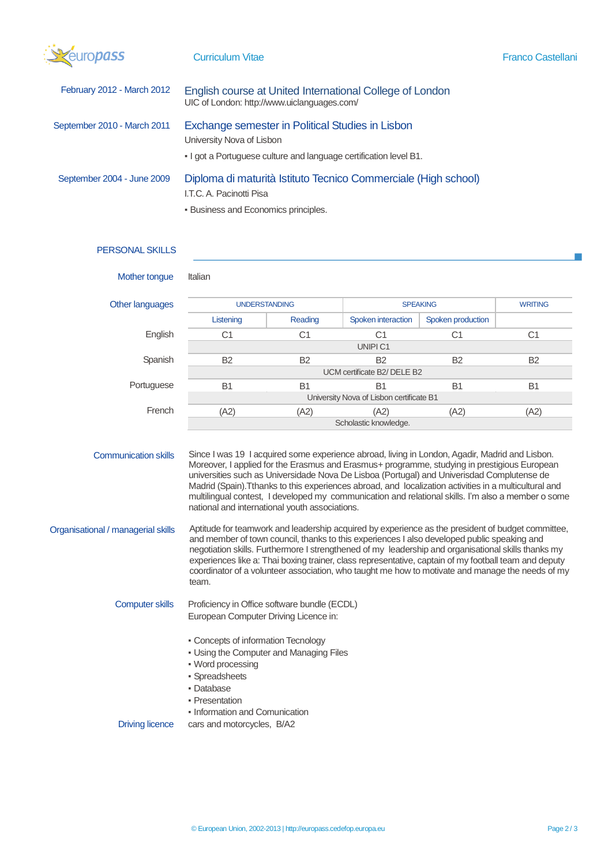| Szeuropass |  |
|------------|--|
|            |  |
|            |  |

J.

| February 2012 - March 2012  | English course at United International College of London<br>UIC of London: http://www.uiclanguages.com/                                            |
|-----------------------------|----------------------------------------------------------------------------------------------------------------------------------------------------|
| September 2010 - March 2011 | Exchange semester in Political Studies in Lisbon<br>University Nova of Lisbon<br>. I got a Portuguese culture and language certification level B1. |
| September 2004 - June 2009  | Diploma di maturità Istituto Tecnico Commerciale (High school)<br>I.T.C. A. Pacinotti Pisa                                                         |

**• Business and Economics principles.** 

## PERSONAL SKILLS

| Mother tongue                                                     | Italian                                                                                                                                                                                                                                                                                                                                                                                                                                                                                                                                                                                                                                                             |                |                    |                   |                |  |  |
|-------------------------------------------------------------------|---------------------------------------------------------------------------------------------------------------------------------------------------------------------------------------------------------------------------------------------------------------------------------------------------------------------------------------------------------------------------------------------------------------------------------------------------------------------------------------------------------------------------------------------------------------------------------------------------------------------------------------------------------------------|----------------|--------------------|-------------------|----------------|--|--|
| Other languages                                                   | <b>UNDERSTANDING</b>                                                                                                                                                                                                                                                                                                                                                                                                                                                                                                                                                                                                                                                |                | <b>SPEAKING</b>    |                   | <b>WRITING</b> |  |  |
|                                                                   | Listening                                                                                                                                                                                                                                                                                                                                                                                                                                                                                                                                                                                                                                                           | Reading        | Spoken interaction | Spoken production |                |  |  |
| English                                                           | C <sub>1</sub>                                                                                                                                                                                                                                                                                                                                                                                                                                                                                                                                                                                                                                                      | C <sub>1</sub> | C <sub>1</sub>     | C <sub>1</sub>    | C <sub>1</sub> |  |  |
|                                                                   | UNIPI C1                                                                                                                                                                                                                                                                                                                                                                                                                                                                                                                                                                                                                                                            |                |                    |                   |                |  |  |
| Spanish                                                           | B <sub>2</sub>                                                                                                                                                                                                                                                                                                                                                                                                                                                                                                                                                                                                                                                      | <b>B2</b>      | <b>B2</b>          | <b>B2</b>         | B <sub>2</sub> |  |  |
|                                                                   | UCM certificate B2/ DELE B2                                                                                                                                                                                                                                                                                                                                                                                                                                                                                                                                                                                                                                         |                |                    |                   |                |  |  |
| Portuguese                                                        | B <sub>1</sub>                                                                                                                                                                                                                                                                                                                                                                                                                                                                                                                                                                                                                                                      | B <sub>1</sub> | B <sub>1</sub>     | <b>B1</b>         | B <sub>1</sub> |  |  |
|                                                                   | University Nova of Lisbon certificate B1                                                                                                                                                                                                                                                                                                                                                                                                                                                                                                                                                                                                                            |                |                    |                   |                |  |  |
| French                                                            | (A2)                                                                                                                                                                                                                                                                                                                                                                                                                                                                                                                                                                                                                                                                | (A2)           | (A2)               | (A2)              | (A2)           |  |  |
|                                                                   | Scholastic knowledge.                                                                                                                                                                                                                                                                                                                                                                                                                                                                                                                                                                                                                                               |                |                    |                   |                |  |  |
| <b>Communication skills</b><br>Organisational / managerial skills | Since I was 19 I acquired some experience abroad, living in London, Agadir, Madrid and Lisbon.<br>Moreover, I applied for the Erasmus and Erasmus+ programme, studying in prestigious European<br>universities such as Universidade Nova De Lisboa (Portugal) and Univerisdad Complutense de<br>Madrid (Spain). Tthanks to this experiences abroad, and localization activities in a multicultural and<br>multilingual contest, I developed my communication and relational skills. I'm also a member o some<br>national and international youth associations.<br>Aptitude for teamwork and leadership acquired by experience as the president of budget committee, |                |                    |                   |                |  |  |
|                                                                   | and member of town council, thanks to this experiences I also developed public speaking and<br>negotiation skills. Furthermore I strengthened of my leadership and organisational skills thanks my<br>experiences like a: Thai boxing trainer, class representative, captain of my football team and deputy<br>coordinator of a volunteer association, who taught me how to motivate and manage the needs of my<br>team.                                                                                                                                                                                                                                            |                |                    |                   |                |  |  |
| <b>Computer skills</b>                                            | Proficiency in Office software bundle (ECDL)<br>European Computer Driving Licence in:                                                                                                                                                                                                                                                                                                                                                                                                                                                                                                                                                                               |                |                    |                   |                |  |  |
| <b>Driving licence</b>                                            | • Concepts of information Tecnology<br>. Using the Computer and Managing Files<br>• Word processing<br>· Spreadsheets<br>· Database<br>- Presentation<br>• Information and Comunication<br>cars and motorcycles, B/A2                                                                                                                                                                                                                                                                                                                                                                                                                                               |                |                    |                   |                |  |  |